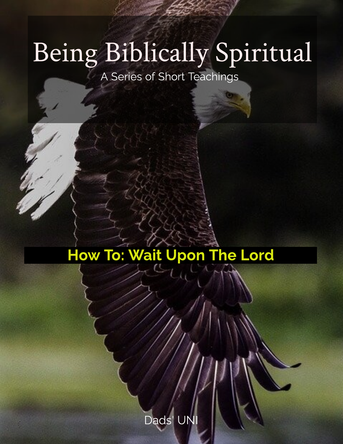# Being Biblically Spiritual

A Series of Short Teachings

## How To: Wait Upon The Lord

Dads' UNI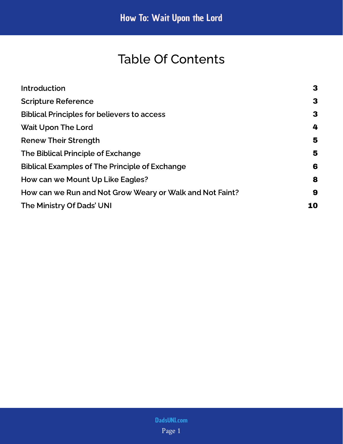## Table Of Contents

| Introduction                                             | 3  |
|----------------------------------------------------------|----|
| <b>Scripture Reference</b>                               | 3  |
| <b>Biblical Principles for believers to access</b>       | 3  |
| <b>Wait Upon The Lord</b>                                | 4  |
| <b>Renew Their Strength</b>                              | 5  |
| The Biblical Principle of Exchange                       | 5  |
| <b>Biblical Examples of The Principle of Exchange</b>    | 6  |
| How can we Mount Up Like Eagles?                         | 8  |
| How can we Run and Not Grow Weary or Walk and Not Faint? | 9  |
| The Ministry Of Dads' UNI                                | 10 |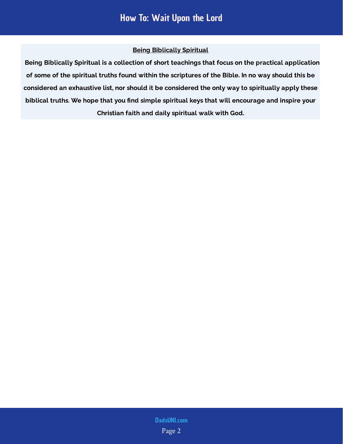#### Being Biblically Spiritual

 Being Biblically Spiritual is a collection of short teachings that focus on the practical application of some of the spiritual truths found within the scriptures of the Bible. In no way should this be considered an exhaustive list, nor should it be considered the only way to spiritually apply these biblical truths. We hope that you find simple spiritual keys that will encourage and inspire your Christian faith and daily spiritual walk with God.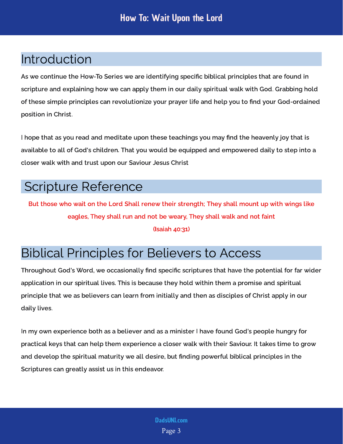## <span id="page-3-0"></span>Introduction

As we continue the How-To Series we are identifying specific biblical principles that are found in scripture and explaining how we can apply them in our daily spiritual walk with God. Grabbing hold of these simple principles can revolutionize your prayer life and help you to find your God-ordained position in Christ.

I hope that as you read and meditate upon these teachings you may find the heavenly joy that is available to all of God's children. That you would be equipped and empowered daily to step into a closer walk with and trust upon our Saviour Jesus Christ

#### <span id="page-3-1"></span>Scripture Reference

But those who wait on the Lord Shall renew their strength; They shall mount up with wings like eagles, They shall run and not be weary, They shall walk and not faint

(Isaiah 40:31)

## <span id="page-3-2"></span>Biblical Principles for Believers to Access

Throughout God's Word, we occasionally find specific scriptures that have the potential for far wider application in our spiritual lives. This is because they hold within them a promise and spiritual principle that we as believers can learn from initially and then as disciples of Christ apply in our daily lives.

In my own experience both as a believer and as a minister I have found God's people hungry for practical keys that can help them experience a closer walk with their Saviour. It takes time to grow and develop the spiritual maturity we all desire, but finding powerful biblical principles in the Scriptures can greatly assist us in this endeavor.

> Page 3 [DadsUNI.com](https://www.dadsuni.com/)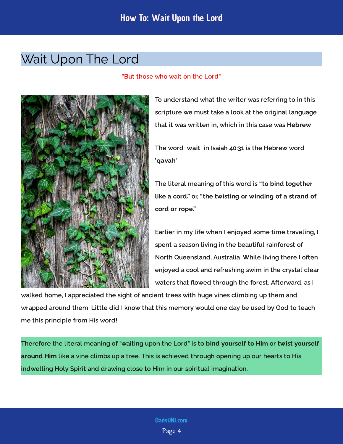## <span id="page-4-0"></span>Wait Upon The Lord

#### "But those who wait on the Lord"



To understand what the writer was referring to in this scripture we must take a look at the original language that it was written in, which in this case was Hebrew.

The word 'wait' in Isaiah 40:31 is the Hebrew word 'qavah'

The literal meaning of this word is or, "to bind together like a cord." "the twisting or winding of a strand of cord or rope."

Earlier in my life when I enjoyed some time traveling, I spent a season living in the beautiful rainforest of North Queensland, Australia. While living there I often enjoyed a cool and refreshing swim in the crystal clear waters that flowed through the forest. Afterward, as I

walked home, I appreciated the sight of ancient trees with huge vines climbing up them and wrapped around them. Little did I know that this memory would one day be used by God to teach me this principle from His word!

Therefore the literal meaning of "waiting upon the Lord" is to bind vourself to Him or like a vine climbs up a tree. This is achieved through opening up our hearts to His indwelling Holy Spirit and drawing close to Him in our spiritual imagination. bind yourself to Him twist yourself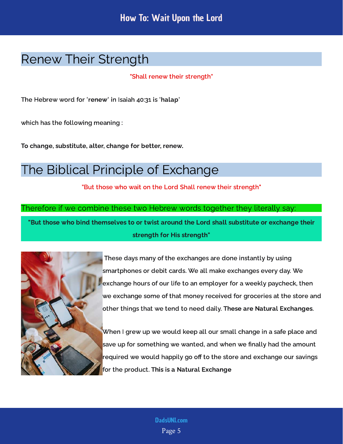## <span id="page-5-0"></span>Renew Their Strength

#### "Shall renew their strength"

The Hebrew word for 'renew' in Isaiah 40:31 is 'halap'

which has the following meaning :

To change, substitute, alter, change for better, renew.

## <span id="page-5-1"></span>The Biblical Principle of Exchange

"But those who wait on the Lord Shall renew their strength"

Therefore if we combine these two Hebrew words together they literally say:

"But those who bind themselves to or twist around the Lord shall substitute or exchange their strength for His strength"



 These days many of the exchanges are done instantly by using smartphones or debit cards. We all make exchanges every day. We exchange hours of our life to an employer for a weekly paycheck, then we exchange some of that money received for groceries at the store and other things that we tend to need daily. These are Natural Exchanges.

When I grew up we would keep all our small change in a safe place and save up for something we wanted, and when we finally had the amount required we would happily go off to the store and exchange our savings for the product. This is a Natural Exchange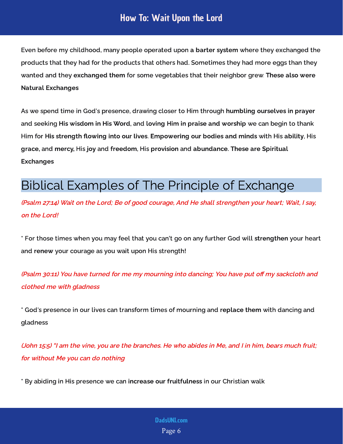#### How To: Wait Upon the Lord

Even before my childhood, many people operated upon a barter system where they exchanged the products that they had for the products that others had. Sometimes they had more eggs than they wanted and they exchanged them for some vegetables that their neighbor grew. These also were Natural Exchanges

As we spend time in God's presence, drawing closer to Him through humbling ourselves in prayer and seeking His wi<mark>sdom in His Word,</mark> and <mark>loving Him in praise and worship</mark> we can begin to thank Him for His strength flowing into our lives. Empowering our bodies and minds with His ability. His grace, and mercy, His joy and freedom. His provision and abundance. These are Spiritual Exchanges

#### <span id="page-6-0"></span>Biblical Examples of The Principle of Exchange

(Psalm 27:14) Wait on the Lord; Be of good courage, And He shall strengthen your heart; Wait, I say, on the Lord!

\* For those times when you may feel that you can't go on any further God will strengthen your heart and renew your courage as you wait upon His strength!

(Psalm 30:11) You have turned for me my mourning into dancing; You have put off my sackcloth and clothed me with gladness

\* God's presence in our lives can transform times of mourning and replace them with dancing and gladness

(John 15:5) "I am the vine, you are the branches. He who abides in Me, and I in him, bears much fruit; for without Me you can do nothing

\* By abiding in His presence we can increase our fruitfulness in our Christian walk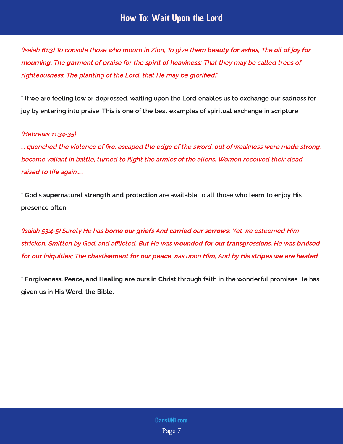#### How To: Wait Upon the Lord

(Isaiah 61:3) To console those who mourn in Zion, To give them <mark>beauty for ashes,</mark> The <mark>oil of joy for</mark> mourning, The garment of praise for the spirit of heaviness; That they may be called trees of<br>. righteousness, The planting of the Lord, that He may be glorified."

\* If we are feeling low or depressed, waiting upon the Lord enables us to exchange our sadness for joy by entering into praise. This is one of the best examples of spiritual exchange in scripture.

#### (Hebrews 11:34-35)

... quenched the violence of fire, escaped the edge of the sword, out of weakness were made strong, became valiant in battle, turned to flight the armies of the aliens. Women received their dead raised to life again.....

\* God's supernatural strength and protection are available to all those who learn to enjoy His presence often

(Isaiah 53:4-5) Surely He has <mark>borne our griefs</mark> And <mark>carried our sorrows</mark>; Yet we esteemed Him stricken, Smitten by God, and afflicted. But He was <mark>wounded for our transgressions</mark>, He was <mark>bruised</mark> for our iniquities; The chastisement for our peace was upon Him, And by His stripes we are healed<br>.

\* Forgiveness, Peace, and Healing are ours in Christ through faith in the wonderful promises He has given us in His Word, the Bible.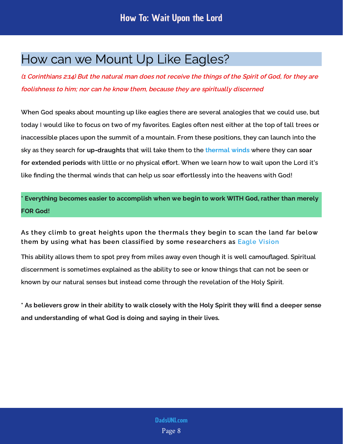## <span id="page-8-0"></span>How can we Mount Up Like Eagles?

(1 Corinthians 2:14) But the natural man does not receive the things of the Spirit of God, for they are foolishness to him; nor can he know them, because they are spiritually discerned

When God speaks about mounting up like eagles there are several analogies that we could use, but today I would like to focus on two of my favorites. Eagles often nest either at the top of tall trees or inaccessible places upon the summit of a mountain. From these positions, they can launch into the sky as they search for **up-draughts** that will take them to the thermal winds where they can <mark>soar</mark> for extended periods with little or no physical effort. When we learn how to wait upon the Lord it's like finding the thermal winds that can help us soar effortlessly into the heavens with God!

Everything becomes easier to accomplish when we begin to work WITH God, rather than merely FOR God!

As they climb to great heights upon the thermals they begin to scan the land far below them by using what has been classified by some researchers as [Eagle Vision](https://www.youtube.com/watch?v=gWRK8Sa8LRw)

This ability allows them to spot prey from miles away even though it is well camouflaged. Spiritual discernment is sometimes explained as the ability to see or know things that can not be seen or known by our natural senses but instead come through the revelation of the Holy Spirit.

\* As believers grow in their ability to walk closely with the Holy Spirit they will find a deeper sense and understanding of what God is doing and saying in their lives.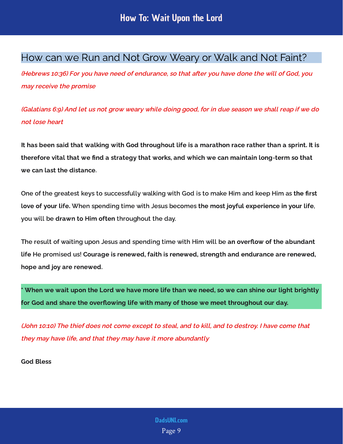#### <span id="page-9-0"></span>How can we Run and Not Grow Weary or Walk and Not Faint?

(Hebrews 10:36) For you have need of endurance, so that after you have done the will of God, you may receive the promise

(Galatians 6:9) And let us not grow weary while doing good, for in due season we shall reap if we do not lose heart

It has been said that walking with God throughout life is a marathon race rather than a sprint. It is therefore vital that we find a strategy that works, and which we can maintain long-term so that we can last the distance.

One of the greatest keys to successfully walking with God is to make Him and keep Him as th<mark>e first</mark> love of vour life. When spending time with Jesus becomes the most joyful experience in your life. vou will be draw<mark>n to Him often</mark> throughout the day.

The result of waiting upon Jesus and spending time with Him will be an overflow of the abundant life He promised us! Courage is renewed, faith is renewed, strength and endurance are renewed, hope and joy are renewed.

When we wait upon the Lord we have more life than we need, so we can shine our light brightly for God and share the overflowing life with many of those we meet throughout our day.

(John 10:10) The thief does not come except to steal, and to kill, and to destroy. I have come that they may have life, and that they may have it more abundantly

God Bless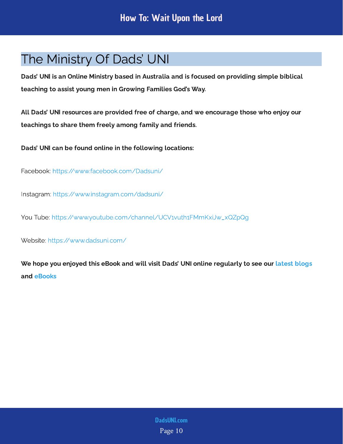## <span id="page-10-0"></span>The Ministry Of Dads' UNI

Dads' UNI is an Online Ministry based in Australia and is focused on providing simple biblical teaching to assist young men in Growing Families God's Way.

All Dads' UNI resources are provided free of charge, and we encourage those who enjoy our teachings to share them freely among family and friends.

Dads' UNI can be found online in the following locations:

Facebook: <https://www.facebook.com/Dadsuni/>

Instagram:<https://www.instagram.com/dadsuni/>

You Tube: [https://www.youtube.com/channel/UCV1vuth1FMmKxiJw\\_xQZpQg](https://www.youtube.com/channel/UCV1vuth1FMmKxiJw_xQZpQg)

Website: <https://www.dadsuni.com/>

We hope you enjoyed this eBook and will visit Dads' UNI online regularly to see our  [latest blogs](https://www.dadsuni.com/parenting-blog) and [eBooks](https://www.dadsuni.com/ebook-library)

> Page 10 [DadsUNI.com](https://www.dadsuni.com/)